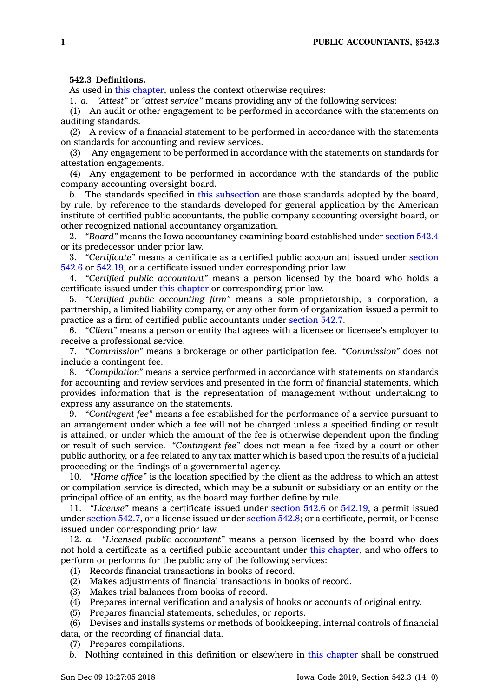## **542.3 Definitions.**

As used in this [chapter](https://www.legis.iowa.gov/docs/code//542.pdf), unless the context otherwise requires:

1. *a. "Attest"* or *"attest service"* means providing any of the following services:

(1) An audit or other engagement to be performed in accordance with the statements on auditing standards.

(2) A review of <sup>a</sup> financial statement to be performed in accordance with the statements on standards for accounting and review services.

(3) Any engagement to be performed in accordance with the statements on standards for attestation engagements.

(4) Any engagement to be performed in accordance with the standards of the public company accounting oversight board.

*b.* The standards specified in this [subsection](https://www.legis.iowa.gov/docs/code/542.3.pdf) are those standards adopted by the board, by rule, by reference to the standards developed for general application by the American institute of certified public accountants, the public company accounting oversight board, or other recognized national accountancy organization.

2. *"Board"* means the Iowa accountancy examining board established under [section](https://www.legis.iowa.gov/docs/code/542.4.pdf) 542.4 or its predecessor under prior law.

3. *"Certificate"* means <sup>a</sup> certificate as <sup>a</sup> certified public accountant issued under [section](https://www.legis.iowa.gov/docs/code/542.6.pdf) [542.6](https://www.legis.iowa.gov/docs/code/542.6.pdf) or [542.19](https://www.legis.iowa.gov/docs/code/542.19.pdf), or <sup>a</sup> certificate issued under corresponding prior law.

4. *"Certified public accountant"* means <sup>a</sup> person licensed by the board who holds <sup>a</sup> certificate issued under this [chapter](https://www.legis.iowa.gov/docs/code//542.pdf) or corresponding prior law.

5. *"Certified public accounting firm"* means <sup>a</sup> sole proprietorship, <sup>a</sup> corporation, <sup>a</sup> partnership, <sup>a</sup> limited liability company, or any other form of organization issued <sup>a</sup> permit to practice as <sup>a</sup> firm of certified public accountants under [section](https://www.legis.iowa.gov/docs/code/542.7.pdf) 542.7.

6. *"Client"* means <sup>a</sup> person or entity that agrees with <sup>a</sup> licensee or licensee's employer to receive <sup>a</sup> professional service.

7. *"Commission"* means <sup>a</sup> brokerage or other participation fee. *"Commission"* does not include <sup>a</sup> contingent fee.

8. *"Compilation"* means <sup>a</sup> service performed in accordance with statements on standards for accounting and review services and presented in the form of financial statements, which provides information that is the representation of management without undertaking to express any assurance on the statements.

9. *"Contingent fee"* means <sup>a</sup> fee established for the performance of <sup>a</sup> service pursuant to an arrangement under which <sup>a</sup> fee will not be charged unless <sup>a</sup> specified finding or result is attained, or under which the amount of the fee is otherwise dependent upon the finding or result of such service. *"Contingent fee"* does not mean <sup>a</sup> fee fixed by <sup>a</sup> court or other public authority, or <sup>a</sup> fee related to any tax matter which is based upon the results of <sup>a</sup> judicial proceeding or the findings of <sup>a</sup> governmental agency.

10. *"Home office"* is the location specified by the client as the address to which an attest or compilation service is directed, which may be <sup>a</sup> subunit or subsidiary or an entity or the principal office of an entity, as the board may further define by rule.

11. *"License"* means <sup>a</sup> certificate issued under [section](https://www.legis.iowa.gov/docs/code/542.6.pdf) 542.6 or [542.19](https://www.legis.iowa.gov/docs/code/542.19.pdf), <sup>a</sup> permit issued under [section](https://www.legis.iowa.gov/docs/code/542.7.pdf) 542.7, or <sup>a</sup> license issued under [section](https://www.legis.iowa.gov/docs/code/542.8.pdf) 542.8; or <sup>a</sup> certificate, permit, or license issued under corresponding prior law.

12. *a. "Licensed public accountant"* means <sup>a</sup> person licensed by the board who does not hold <sup>a</sup> certificate as <sup>a</sup> certified public accountant under this [chapter](https://www.legis.iowa.gov/docs/code//542.pdf), and who offers to perform or performs for the public any of the following services:

- (1) Records financial transactions in books of record.
- (2) Makes adjustments of financial transactions in books of record.
- (3) Makes trial balances from books of record.
- (4) Prepares internal verification and analysis of books or accounts of original entry.
- (5) Prepares financial statements, schedules, or reports.

(6) Devises and installs systems or methods of bookkeeping, internal controls of financial data, or the recording of financial data.

- (7) Prepares compilations.
- *b.* Nothing contained in this definition or elsewhere in this [chapter](https://www.legis.iowa.gov/docs/code//542.pdf) shall be construed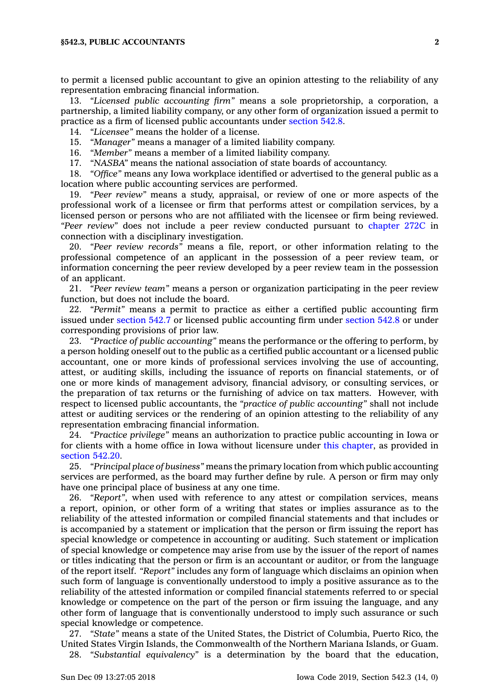to permit <sup>a</sup> licensed public accountant to give an opinion attesting to the reliability of any representation embracing financial information.

13. *"Licensed public accounting firm"* means <sup>a</sup> sole proprietorship, <sup>a</sup> corporation, <sup>a</sup> partnership, <sup>a</sup> limited liability company, or any other form of organization issued <sup>a</sup> permit to practice as <sup>a</sup> firm of licensed public accountants under [section](https://www.legis.iowa.gov/docs/code/542.8.pdf) 542.8.

14. *"Licensee"* means the holder of <sup>a</sup> license.

15. *"Manager"* means <sup>a</sup> manager of <sup>a</sup> limited liability company.

16. *"Member"* means <sup>a</sup> member of <sup>a</sup> limited liability company.

17. *"NASBA"* means the national association of state boards of accountancy.

18. *"Office"* means any Iowa workplace identified or advertised to the general public as <sup>a</sup> location where public accounting services are performed.

19. *"Peer review"* means <sup>a</sup> study, appraisal, or review of one or more aspects of the professional work of <sup>a</sup> licensee or firm that performs attest or compilation services, by <sup>a</sup> licensed person or persons who are not affiliated with the licensee or firm being reviewed. *"Peer review"* does not include <sup>a</sup> peer review conducted pursuant to [chapter](https://www.legis.iowa.gov/docs/code//272C.pdf) 272C in connection with <sup>a</sup> disciplinary investigation.

20. *"Peer review records"* means <sup>a</sup> file, report, or other information relating to the professional competence of an applicant in the possession of <sup>a</sup> peer review team, or information concerning the peer review developed by <sup>a</sup> peer review team in the possession of an applicant.

21. *"Peer review team"* means <sup>a</sup> person or organization participating in the peer review function, but does not include the board.

22. *"Permit"* means <sup>a</sup> permit to practice as either <sup>a</sup> certified public accounting firm issued under [section](https://www.legis.iowa.gov/docs/code/542.7.pdf) 542.7 or licensed public accounting firm under [section](https://www.legis.iowa.gov/docs/code/542.8.pdf) 542.8 or under corresponding provisions of prior law.

23. *"Practice of public accounting"* means the performance or the offering to perform, by <sup>a</sup> person holding oneself out to the public as <sup>a</sup> certified public accountant or <sup>a</sup> licensed public accountant, one or more kinds of professional services involving the use of accounting, attest, or auditing skills, including the issuance of reports on financial statements, or of one or more kinds of management advisory, financial advisory, or consulting services, or the preparation of tax returns or the furnishing of advice on tax matters. However, with respect to licensed public accountants, the *"practice of public accounting"* shall not include attest or auditing services or the rendering of an opinion attesting to the reliability of any representation embracing financial information.

24. *"Practice privilege"* means an authorization to practice public accounting in Iowa or for clients with <sup>a</sup> home office in Iowa without licensure under this [chapter](https://www.legis.iowa.gov/docs/code//542.pdf), as provided in [section](https://www.legis.iowa.gov/docs/code/542.20.pdf) 542.20.

25. *"Principal place of business"* means the primary location from which public accounting services are performed, as the board may further define by rule. A person or firm may only have one principal place of business at any one time.

26. *"Report"*, when used with reference to any attest or compilation services, means <sup>a</sup> report, opinion, or other form of <sup>a</sup> writing that states or implies assurance as to the reliability of the attested information or compiled financial statements and that includes or is accompanied by <sup>a</sup> statement or implication that the person or firm issuing the report has special knowledge or competence in accounting or auditing. Such statement or implication of special knowledge or competence may arise from use by the issuer of the report of names or titles indicating that the person or firm is an accountant or auditor, or from the language of the report itself. *"Report"* includes any form of language which disclaims an opinion when such form of language is conventionally understood to imply <sup>a</sup> positive assurance as to the reliability of the attested information or compiled financial statements referred to or special knowledge or competence on the part of the person or firm issuing the language, and any other form of language that is conventionally understood to imply such assurance or such special knowledge or competence.

27. *"State"* means <sup>a</sup> state of the United States, the District of Columbia, Puerto Rico, the United States Virgin Islands, the Commonwealth of the Northern Mariana Islands, or Guam.

28. *"Substantial equivalency"* is <sup>a</sup> determination by the board that the education,